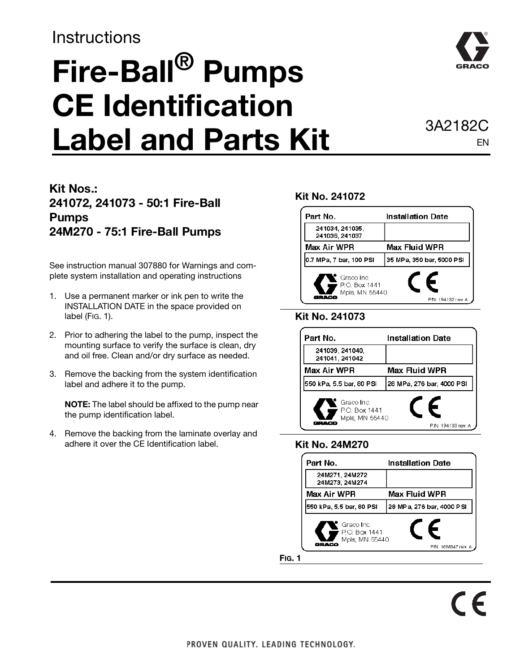## **Instructions**

# **Fire-Ball® Pumps CE Identification Label and Parts Kit** 3A2182C



## EN

#### **Kit Nos.: 241072, 241073 - 50:1 Fire-Ball Pumps 24M270 - 75:1 Fire-Ball Pumps**

See instruction manual 307880 for Warnings and complete system installation and operating instructions

- 1. Use a permanent marker or ink pen to write the INSTALLATION DATE in the space provided on label (FIG. 1).
- 2. Prior to adhering the label to the pump, inspect the mounting surface to verify the surface is clean, dry and oil free. Clean and/or dry surface as needed.
- 3. Remove the backing from the system identification label and adhere it to the pump.

**NOTE:** The label should be affixed to the pump near the pump identification label.

4. Remove the backing from the laminate overlay and adhere it over the CE Identification label.

#### **Kit No. 241072**



#### **Kit No. 241073**



#### **Kit No. 24M270**

| Part No.                                      | Installation Date         |
|-----------------------------------------------|---------------------------|
| 24M271, 24M272<br>24M273, 24M274              |                           |
| Max Air WPR                                   | Max Fluid WPR             |
| 550 kPa, 5.5 bar, 80 PSI                      | 28 MPa, 276 bar, 4000 PSI |
| Graco Inc.<br>P.O. Box 1441<br>Mpls, MN 55440 | Е<br>PAI: 16M847 rev. A   |

**FIG. 1**